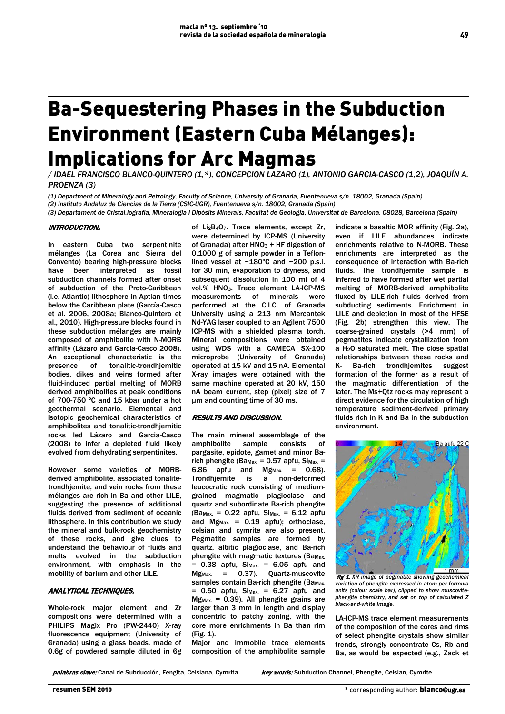# Ba-Sequestering Phases in the Subduction Environment (Eastern Cuba Mélanges): Implications for Arc Magmas

*/ IDAEL FRANCISCO BLANCO-QUINTERO (1,\*), CONCEPCION LAZARO (1), ANTONIO GARCIA-CASCO (1,2), JOAQUÍN A. PROENZA (3)*

*(1) Department of Mineralogy and Petrology, Faculty of Science, University of Granada, Fuentenueva s/n. 18002, Granada (Spain)*

*(2) Instituto Andaluz de Ciencias de la Tierra (CSIC-UGR), Fuentenueva s/n. 18002, Granada (Spain)* 

*(3) Departament de Cristal.lografia, Mineralogia i Dipòsits Minerals, Facultat de Geologia, Universitat de Barcelona. 08028, Barcelona (Spain)* 

### INTRODUCTION.

In eastern Cuba two serpentinite mélanges (La Corea and Sierra del Convento) bearing high-pressure blocks have been interpreted as fossil subduction channels formed after onset of subduction of the Proto-Caribbean (i.e. Atlantic) lithosphere in Aptian times below the Caribbean plate (García-Casco et al. 2006, 2008a; Blanco-Quintero et al., 2010). High-pressure blocks found in these subduction mélanges are mainly composed of amphibolite with N-MORB affinity (Lázaro and Garcia-Casco 2008). An exceptional characteristic is the presence of tonalitic-trondhjemitic bodies, dikes and veins formed after fluid-induced partial melting of MORB derived amphibolites at peak conditions of 700-750 ºC and 15 kbar under a hot geothermal scenario. Elemental and isotopic geochemical characteristics of amphibolites and tonalitic-trondhjemitic rocks led Lázaro and Garcia-Casco (2008) to infer a depleted fluid likely evolved from dehydrating serpentinites.

However some varieties of MORBderived amphibolite, associated tonalitetrondhjemite, and vein rocks from these mélanges are rich in Ba and other LILE, suggesting the presence of additional fluids derived from sediment of oceanic lithosphere. In this contribution we study the mineral and bulk-rock geochemistry of these rocks, and give clues to understand the behaviour of fluids and melts evolved in the subduction environment, with emphasis in the mobility of barium and other LILE.

# ANALYTICAL TECHNIQUES.

Whole-rock major element and Zr compositions were determined with a PHILIPS Magix Pro (PW-2440) X-ray fluorescence equipment (University of Granada) using a glass beads, made of 0.6g of powdered sample diluted in 6g

of Li2B4O7. Trace elements, except Zr, were determined by ICP-MS (University of Granada) after  $HNO<sub>3</sub> + HF$  digestion of 0.1000 g of sample powder in a Teflonlined vessel at ~180ºC and ~200 p.s.i. for 30 min, evaporation to dryness, and subsequent dissolution in 100 ml of 4 vol.% HNO3. Trace element LA-ICP-MS measurements of minerals were performed at the C.I.C. of Granada University using a 213 nm Mercantek Nd-YAG laser coupled to an Agilent 7500 ICP-MS with a shielded plasma torch. Mineral compositions were obtained using WDS with a CAMECA SX-100 microprobe (University of Granada) operated at 15 kV and 15 nA. Elemental X-ray images were obtained with the same machine operated at 20 kV, 150 nA beam current, step (pixel) size of 7 µm and counting time of 30 ms.

# RESULTS AND DISCUSSION.

The main mineral assemblage of the<br>amphibolite sample consists of sample consists of pargasite, epidote, garnet and minor Barich phengite (Ba<sub>Max.</sub> =  $0.57$  apfu, Si<sub>Max.</sub> = 6.86 apfu and  $Mg_{Max.}$  = 0.68).<br>Trondhjemite is a non-deformed Trondhjemite is a leucocratic rock consisting of mediumgrained magmatic plagioclase and quartz and subordinate Ba-rich phengite  $(Ba_{Max.} = 0.22$  apfu,  $Si_{Max.} = 6.12$  apfu and  $Mg_{\text{Max}} = 0.19$  apfu); orthoclase, celsian and cymrite are also present. Pegmatite samples are formed by quartz, albitic plagioclase, and Ba-rich phengite with magmatic textures (Ba $_{\text{Max.}}$  $= 0.38$  apfu, Si<sub>Max.</sub>  $= 6.05$  apfu and<br>Mg<sub>Max.</sub>  $= 0.37$ . Quartz-muscovite  $Mg_{\text{Max}} = 0.37$ . Quartz-muscovite samples contain Ba-rich phengite (Ba<sub>Max.</sub>  $= 0.50$  apfu,  $Si_{Max.} = 6.27$  apfu and  $Mg_{\text{Max}} = 0.39$ ). All phengite grains are larger than 3 mm in length and display concentric to patchy zoning, with the core more enrichments in Ba than rim (Fig. 1).

Major and immobile trace elements composition of the amphibolite sample

indicate a basaltic MOR affinity (Fig. 2a), even if LILE abundances indicate enrichments relative to N-MORB. These enrichments are interpreted as the consequence of interaction with Ba-rich fluids. The trondhjemite sample is inferred to have formed after wet partial melting of MORB-derived amphibolite fluxed by LILE-rich fluids derived from subducting sediments. Enrichment in LILE and depletion in most of the HFSE (Fig. 2b) strengthen this view. The coarse-grained crystals (>4 mm) of pegmatites indicate crystallization from a H2O saturated melt. The close spatial relationships between these rocks and K- Ba-rich trondhjemites suggest formation of the former as a result of the magmatic differentiation of the later. The Ms+Qtz rocks may represent a direct evidence for the circulation of high temperature sediment-derived primary fluids rich in K and Ba in the subduction environment.



fig 1. *XR image of pegmatite showing geochemical variation of phengite expressed in atom per formula units (colour scale bar), clipped to show muscovitephengite chemistry, and set on top of calculated Z black-and-white image.*

LA-ICP-MS trace element measurements of the composition of the cores and rims of select phengite crystals show similar trends, strongly concentrate Cs, Rb and Ba, as would be expected (e.g., Zack et

palabras clave: Canal de Subducción, Fengita, Celsiana, Cymrita | key words: Subduction Channel, Phengite, Celsian, Cymrite

49